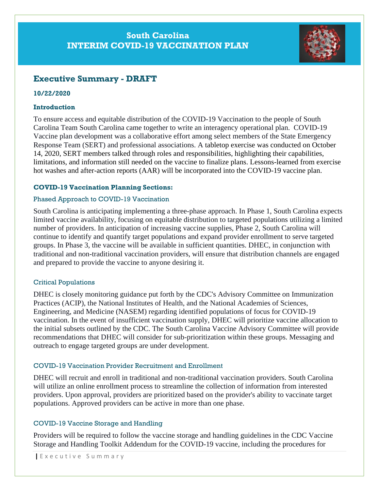## **South Carolina INTERIM COVID-19 VACCINATION PLAN**



# **Executive Summary - DRAFT**

## **10/22/2020**

## **Introduction**

To ensure access and equitable distribution of the COVID-19 Vaccination to the people of South Carolina Team South Carolina came together to write an interagency operational plan. COVID-19 Vaccine plan development was a collaborative effort among select members of the State Emergency Response Team (SERT) and professional associations. A tabletop exercise was conducted on October 14, 2020, SERT members talked through roles and responsibilities, highlighting their capabilities, limitations, and information still needed on the vaccine to finalize plans. Lessons-learned from exercise hot washes and after-action reports (AAR) will be incorporated into the COVID-19 vaccine plan.

## **COVID-19 Vaccination Planning Sections:**

## Phased Approach to COVID-19 Vaccination

South Carolina is anticipating implementing a three-phase approach. In Phase 1, South Carolina expects limited vaccine availability, focusing on equitable distribution to targeted populations utilizing a limited number of providers. In anticipation of increasing vaccine supplies, Phase 2, South Carolina will continue to identify and quantify target populations and expand provider enrollment to serve targeted groups. In Phase 3, the vaccine will be available in sufficient quantities. DHEC, in conjunction with traditional and non-traditional vaccination providers, will ensure that distribution channels are engaged and prepared to provide the vaccine to anyone desiring it.

#### Critical Populations

DHEC is closely monitoring guidance put forth by the CDC's Advisory Committee on Immunization Practices (ACIP), the National Institutes of Health, and the National Academies of Sciences, Engineering, and Medicine (NASEM) regarding identified populations of focus for COVID-19 vaccination. In the event of insufficient vaccination supply, DHEC will prioritize vaccine allocation to the initial subsets outlined by the CDC. The South Carolina Vaccine Advisory Committee will provide recommendations that DHEC will consider for sub-prioritization within these groups. Messaging and outreach to engage targeted groups are under development.

## COVID-19 Vaccination Provider Recruitment and Enrollment

DHEC will recruit and enroll in traditional and non-traditional vaccination providers. South Carolina will utilize an online enrollment process to streamline the collection of information from interested providers. Upon approval, providers are prioritized based on the provider's ability to vaccinate target populations. Approved providers can be active in more than one phase.

## COVID-19 Vaccine Storage and Handling

Providers will be required to follow the vaccine storage and handling guidelines in the CDC Vaccine Storage and Handling Toolkit Addendum for the COVID-19 vaccine, including the procedures for